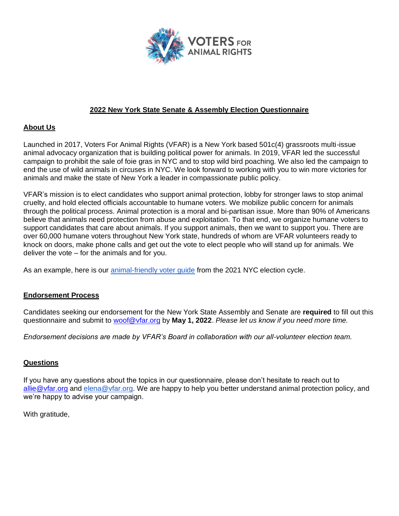

## **2022 New York State Senate & Assembly Election Questionnaire**

## **About Us**

Launched in 2017, Voters For Animal Rights (VFAR) is a New York based 501c(4) grassroots multi-issue animal advocacy organization that is building political power for animals. In 2019, VFAR led the successful campaign to prohibit the sale of foie gras in NYC and to stop wild bird poaching. We also led the campaign to end the use of wild animals in circuses in NYC. We look forward to working with you to win more victories for animals and make the state of New York a leader in compassionate public policy.

VFAR's mission is to elect candidates who support animal protection, lobby for stronger laws to stop animal cruelty, and hold elected officials accountable to humane voters. We mobilize public concern for animals through the political process. Animal protection is a moral and bi-partisan issue. More than 90% of Americans believe that animals need protection from abuse and exploitation. To that end, we organize humane voters to support candidates that care about animals. If you support animals, then we want to support you. There are over 60,000 humane voters throughout New York state, hundreds of whom are VFAR volunteers ready to knock on doors, make phone calls and get out the vote to elect people who will stand up for animals. We deliver the vote – for the animals and for you.

As an example, here is our animal-friendly voter guide from the 2021 NYC election cycle.

## **Endorsement Process**

Candidates seeking our endorsement for the New York State Assembly and Senate are **required** to fill out this questionnaire and submit to woof@vfar.org by **May 1, 2022**. *Please let us know if you need more time.*

*Endorsement decisions are made by VFAR's Board in collaboration with our all-volunteer election team.*

## **Questions**

If you have any questions about the topics in our questionnaire, please don't hesitate to reach out to allie@vfar.org and elena@vfar.org. We are happy to help you better understand animal protection policy, and we're happy to advise your campaign.

With gratitude,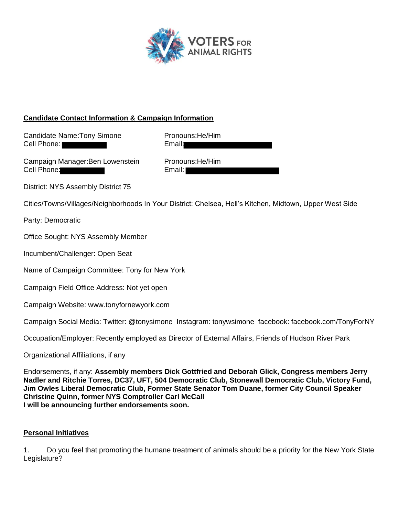

# **Candidate Contact Information & Campaign Information**

Candidate Name: Tony Simone Pronouns: He/Him Cell Phone: New York 1999 Email:

Campaign Manager: Ben Lowenstein Pronouns: He/Him Cell Phone: Email: Email:

District: NYS Assembly District 75

Cities/Towns/Villages/Neighborhoods In Your District: Chelsea, Hell's Kitchen, Midtown, Upper West Side

Party: Democratic

Office Sought: NYS Assembly Member

Incumbent/Challenger: Open Seat

Name of Campaign Committee: Tony for New York

Campaign Field Office Address: Not yet open

Campaign Website: www.tonyfornewyork.com

Campaign Social Media: Twitter: @tonysimone Instagram: tonywsimone facebook: facebook.com/TonyForNY

Occupation/Employer: Recently employed as Director of External Affairs, Friends of Hudson River Park

Organizational Affiliations, if any

Endorsements, if any: **Assembly members Dick Gottfried and Deborah Glick, Congress members Jerry Nadler and Ritchie Torres, DC37, UFT, 504 Democratic Club, Stonewall Democratic Club, Victory Fund, Jim Owles Liberal Democratic Club, Former State Senator Tom Duane, former City Council Speaker Christine Quinn, former NYS Comptroller Carl McCall I will be announcing further endorsements soon.**

## **Personal Initiatives**

1. Do you feel that promoting the humane treatment of animals should be a priority for the New York State Legislature?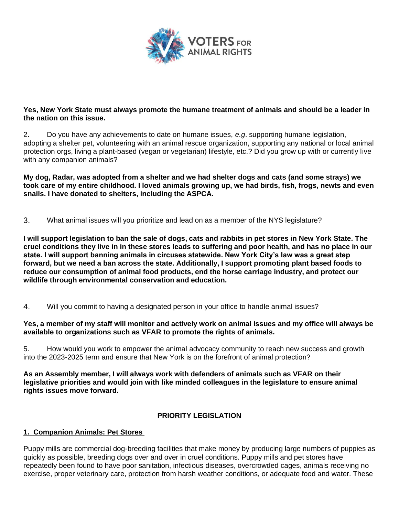

## **Yes, New York State must always promote the humane treatment of animals and should be a leader in the nation on this issue.**

2. Do you have any achievements to date on humane issues, *e.g*. supporting humane legislation, adopting a shelter pet, volunteering with an animal rescue organization, supporting any national or local animal protection orgs, living a plant-based (vegan or vegetarian) lifestyle, etc.? Did you grow up with or currently live with any companion animals?

**My dog, Radar, was adopted from a shelter and we had shelter dogs and cats (and some strays) we took care of my entire childhood. I loved animals growing up, we had birds, fish, frogs, newts and even snails. I have donated to shelters, including the ASPCA.**

3. What animal issues will you prioritize and lead on as a member of the NYS legislature?

**I will support legislation to ban the sale of dogs, cats and rabbits in pet stores in New York State. The cruel conditions they live in in these stores leads to suffering and poor health, and has no place in our state. I will support banning animals in circuses statewide. New York City's law was a great step forward, but we need a ban across the state. Additionally, I support promoting plant based foods to reduce our consumption of animal food products, end the horse carriage industry, and protect our wildlife through environmental conservation and education.**

4. Will you commit to having a designated person in your office to handle animal issues?

### **Yes, a member of my staff will monitor and actively work on animal issues and my office will always be available to organizations such as VFAR to promote the rights of animals.**

5. How would you work to empower the animal advocacy community to reach new success and growth into the 2023-2025 term and ensure that New York is on the forefront of animal protection?

**As an Assembly member, I will always work with defenders of animals such as VFAR on their legislative priorities and would join with like minded colleagues in the legislature to ensure animal rights issues move forward.**

## **PRIORITY LEGISLATION**

## **1. Companion Animals: Pet Stores**

Puppy mills are commercial dog-breeding facilities that make money by producing large numbers of puppies as quickly as possible, breeding dogs over and over in cruel conditions. Puppy mills and pet stores have repeatedly been found to have poor sanitation, infectious diseases, overcrowded cages, animals receiving no exercise, proper veterinary care, protection from harsh weather conditions, or adequate food and water. These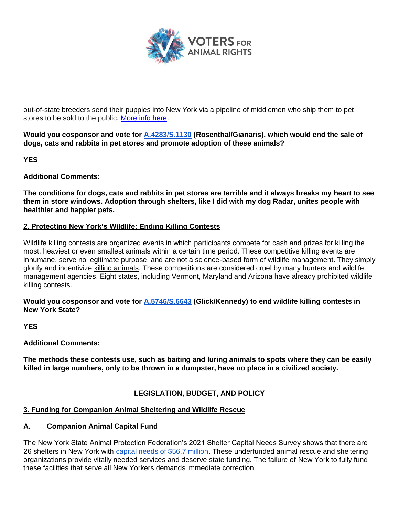

out-of-state breeders send their puppies into New York via a pipeline of middlemen who ship them to pet stores to be sold to the public. More info here.

**Would you cosponsor and vote for A.4283/S.1130 (Rosenthal/Gianaris), which would end the sale of dogs, cats and rabbits in pet stores and promote adoption of these animals?**

**YES**

**Additional Comments:**

**The conditions for dogs, cats and rabbits in pet stores are terrible and it always breaks my heart to see them in store windows. Adoption through shelters, like I did with my dog Radar, unites people with healthier and happier pets.**

### **2. Protecting New York's Wildlife: Ending Killing Contests**

Wildlife killing contests are organized events in which participants compete for cash and prizes for killing the most, heaviest or even smallest animals within a certain time period. These competitive killing events are inhumane, serve no legitimate purpose, and are not a science-based form of wildlife management. They simply glorify and incentivize killing animals. These competitions are considered cruel by many hunters and wildlife management agencies. Eight states, including Vermont, Maryland and Arizona have already prohibited wildlife killing contests.

**Would you cosponsor and vote for A.5746/S.6643 (Glick/Kennedy) to end wildlife killing contests in New York State?** 

**YES** 

**Additional Comments:**

**The methods these contests use, such as baiting and luring animals to spots where they can be easily killed in large numbers, only to be thrown in a dumpster, have no place in a civilized society.** 

## **LEGISLATION, BUDGET, AND POLICY**

## **3. Funding for Companion Animal Sheltering and Wildlife Rescue**

#### **A. Companion Animal Capital Fund**

The New York State Animal Protection Federation's 2021 Shelter Capital Needs Survey shows that there are 26 shelters in New York with capital needs of \$56.7 million. These underfunded animal rescue and sheltering organizations provide vitally needed services and deserve state funding. The failure of New York to fully fund these facilities that serve all New Yorkers demands immediate correction.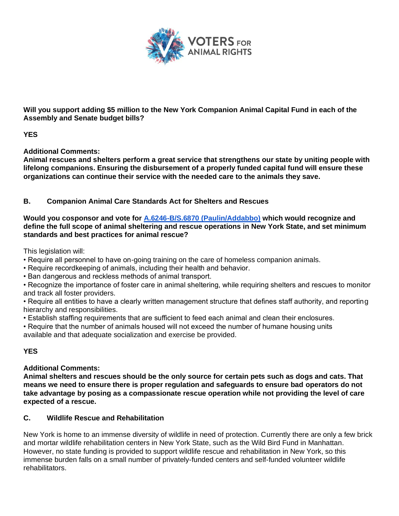

**Will you support adding \$5 million to the New York Companion Animal Capital Fund in each of the Assembly and Senate budget bills?** 

**YES**

**Additional Comments:**

**Animal rescues and shelters perform a great service that strengthens our state by uniting people with lifelong companions. Ensuring the disbursement of a properly funded capital fund will ensure these organizations can continue their service with the needed care to the animals they save.**

# **B. Companion Animal Care Standards Act for Shelters and Rescues**

**Would you cosponsor and vote for A.6246-B/S.6870 (Paulin/Addabbo) which would recognize and define the full scope of animal sheltering and rescue operations in New York State, and set minimum standards and best practices for animal rescue?** 

This legislation will:

- Require all personnel to have on-going training on the care of homeless companion animals.
- Require recordkeeping of animals, including their health and behavior.
- Ban dangerous and reckless methods of animal transport.

• Recognize the importance of foster care in animal sheltering, while requiring shelters and rescues to monitor and track all foster providers.

• Require all entities to have a clearly written management structure that defines staff authority, and reporting hierarchy and responsibilities.

• Establish staffing requirements that are sufficient to feed each animal and clean their enclosures.

• Require that the number of animals housed will not exceed the number of humane housing units available and that adequate socialization and exercise be provided.

# **YES**

# **Additional Comments:**

**Animal shelters and rescues should be the only source for certain pets such as dogs and cats. That means we need to ensure there is proper regulation and safeguards to ensure bad operators do not take advantage by posing as a compassionate rescue operation while not providing the level of care expected of a rescue.** 

# **C. Wildlife Rescue and Rehabilitation**

New York is home to an immense diversity of wildlife in need of protection. Currently there are only a few brick and mortar wildlife rehabilitation centers in New York State, such as the Wild Bird Fund in Manhattan. However, no state funding is provided to support wildlife rescue and rehabilitation in New York, so this immense burden falls on a small number of privately-funded centers and self-funded volunteer wildlife rehabilitators.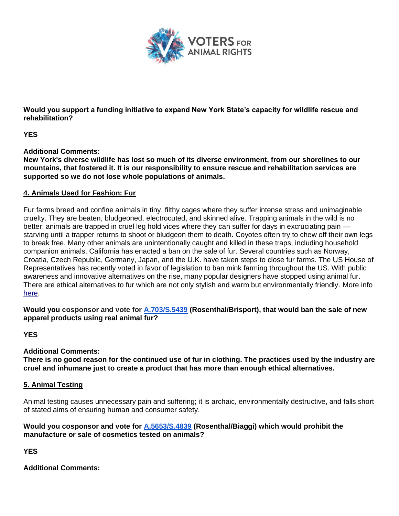

**Would you support a funding initiative to expand New York State's capacity for wildlife rescue and rehabilitation?**

**YES**

**Additional Comments:**

**New York's diverse wildlife has lost so much of its diverse environment, from our shorelines to our mountains, that fostered it. It is our responsibility to ensure rescue and rehabilitation services are supported so we do not lose whole populations of animals.**

### **4. Animals Used for Fashion: Fur**

Fur farms breed and confine animals in tiny, filthy cages where they suffer intense stress and unimaginable cruelty. They are beaten, bludgeoned, electrocuted, and skinned alive. Trapping animals in the wild is no better; animals are trapped in cruel leg hold vices where they can suffer for days in excruciating pain starving until a trapper returns to shoot or bludgeon them to death. Coyotes often try to chew off their own legs to break free. Many other animals are unintentionally caught and killed in these traps, including household companion animals. California has enacted a ban on the sale of fur. Several countries such as Norway, Croatia, Czech Republic, Germany, Japan, and the U.K. have taken steps to close fur farms. The US House of Representatives has recently voted in favor of legislation to ban mink farming throughout the US. With public awareness and innovative alternatives on the rise, many popular designers have stopped using animal fur. There are ethical alternatives to fur which are not only stylish and warm but environmentally friendly. More info here.

**Would you cosponsor and vote for A.703/S.5439 (Rosenthal/Brisport), that would ban the sale of new apparel products using real animal fur?** 

**YES**

#### **Additional Comments:**

**There is no good reason for the continued use of fur in clothing. The practices used by the industry are cruel and inhumane just to create a product that has more than enough ethical alternatives.**

#### **5. Animal Testing**

Animal testing causes unnecessary pain and suffering; it is archaic, environmentally destructive, and falls short of stated aims of ensuring human and consumer safety.

### **Would you cosponsor and vote for A.5653/S.4839 (Rosenthal/Biaggi) which would prohibit the manufacture or sale of cosmetics tested on animals?**

**YES** 

**Additional Comments:**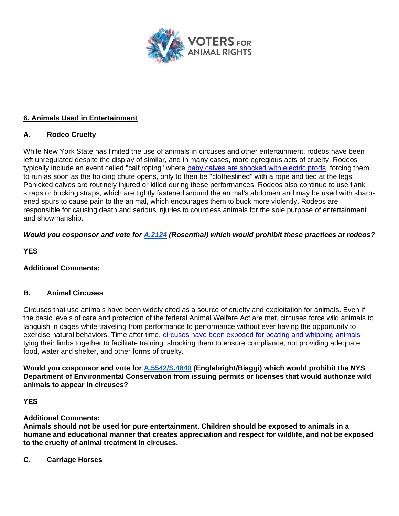

# **6. Animals Used in Entertainment**

# **A. Rodeo Cruelty**

While New York State has limited the use of animals in circuses and other entertainment, rodeos have been left unregulated despite the display of similar, and in many cases, more egregious acts of cruelty. Rodeos typically include an event called "calf roping" where baby calves are shocked with electric prods, forcing them to run as soon as the holding chute opens, only to then be "clotheslined" with a rope and tied at the legs. Panicked calves are routinely injured or killed during these performances. Rodeos also continue to use flank straps or bucking straps, which are tightly fastened around the animal's abdomen and may be used with sharpened spurs to cause pain to the animal, which encourages them to buck more violently. Rodeos are responsible for causing death and serious injuries to countless animals for the sole purpose of entertainment and showmanship.

# *Would you cosponsor and vote for A.2124 (Rosenthal) which would prohibit these practices at rodeos?*

**YES**

# **Additional Comments:**

# **B. Animal Circuses**

Circuses that use animals have been widely cited as a source of cruelty and exploitation for animals. Even if the basic levels of care and protection of the federal Animal Welfare Act are met, circuses force wild animals to languish in cages while traveling from performance to performance without ever having the opportunity to exercise natural behaviors. Time after time, circuses have been exposed for beating and whipping animals tying their limbs together to facilitate training, shocking them to ensure compliance, not providing adequate food, water and shelter, and other forms of cruelty.

**Would you cosponsor and vote for A.5542/S.4840 (Englebright/Biaggi) which would prohibit the NYS Department of Environmental Conservation from issuing permits or licenses that would authorize wild animals to appear in circuses?**

## **YES**

## **Additional Comments:**

**Animals should not be used for pure entertainment. Children should be exposed to animals in a humane and educational manner that creates appreciation and respect for wildlife, and not be exposed to the cruelty of animal treatment in circuses.**

**C. Carriage Horses**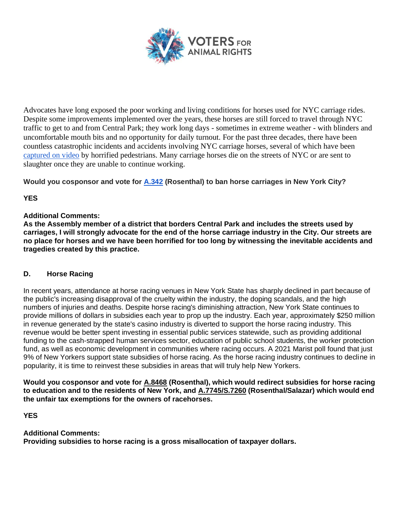

Advocates have long exposed the poor working and living conditions for horses used for NYC carriage rides. Despite some improvements implemented over the years, these horses are still forced to travel through NYC traffic to get to and from Central Park; they work long days - sometimes in extreme weather - with blinders and uncomfortable mouth bits and no opportunity for daily turnout. For the past three decades, there have been countless catastrophic incidents and accidents involving NYC carriage horses, several of which have been captured on video by horrified pedestrians. Many carriage horses die on the streets of NYC or are sent to slaughter once they are unable to continue working.

**Would you cosponsor and vote for A.342 (Rosenthal) to ban horse carriages in New York City?**

# **YES**

## **Additional Comments:**

**As the Assembly member of a district that borders Central Park and includes the streets used by carriages, I will strongly advocate for the end of the horse carriage industry in the City. Our streets are no place for horses and we have been horrified for too long by witnessing the inevitable accidents and tragedies created by this practice.**

## **D. Horse Racing**

In recent years, attendance at horse racing venues in New York State has sharply declined in part because of the public's increasing disapproval of the cruelty within the industry, the doping scandals, and the high numbers of injuries and deaths. Despite horse racing's diminishing attraction, New York State continues to provide millions of dollars in subsidies each year to prop up the industry. Each year, approximately \$250 million in revenue generated by the state's casino industry is diverted to support the horse racing industry. This revenue would be better spent investing in essential public services statewide, such as providing additional funding to the cash-strapped human services sector, education of public school students, the worker protection fund, as well as economic development in communities where racing occurs. A 2021 Marist poll found that just 9% of New Yorkers support state subsidies of horse racing. As the horse racing industry continues to decline in popularity, it is time to reinvest these subsidies in areas that will truly help New Yorkers.

**Would you cosponsor and vote for A.8468 (Rosenthal), which would redirect subsidies for horse racing to education and to the residents of New York, and A.7745/S.7260 (Rosenthal/Salazar) which would end the unfair tax exemptions for the owners of racehorses.** 

**YES**

# **Additional Comments:**

**Providing subsidies to horse racing is a gross misallocation of taxpayer dollars.**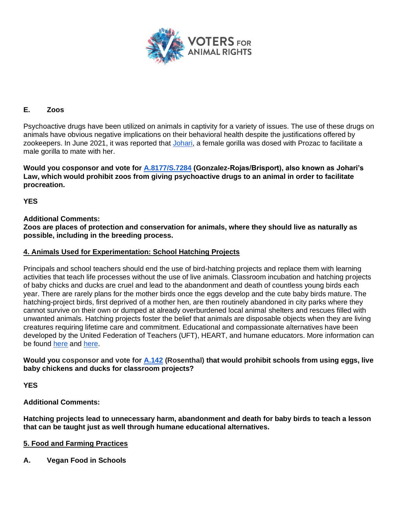

## **E. Zoos**

Psychoactive drugs have been utilized on animals in captivity for a variety of issues. The use of these drugs on animals have obvious negative implications on their behavioral health despite the justifications offered by zookeepers. In June 2021, it was reported that Johari, a female gorilla was dosed with Prozac to facilitate a male gorilla to mate with her.

**Would you cosponsor and vote for A.8177/S.7284 (Gonzalez-Rojas/Brisport), also known as Johari's Law, which would prohibit zoos from giving psychoactive drugs to an animal in order to facilitate procreation.** 

**YES**

## **Additional Comments:**

**Zoos are places of protection and conservation for animals, where they should live as naturally as possible, including in the breeding process.**

### **4. Animals Used for Experimentation: School Hatching Projects**

Principals and school teachers should end the use of bird-hatching projects and replace them with learning activities that teach life processes without the use of live animals. Classroom incubation and hatching projects of baby chicks and ducks are cruel and lead to the abandonment and death of countless young birds each year. There are rarely plans for the mother birds once the eggs develop and the cute baby birds mature. The hatching-project birds, first deprived of a mother hen, are then routinely abandoned in city parks where they cannot survive on their own or dumped at already overburdened local animal shelters and rescues filled with unwanted animals. Hatching projects foster the belief that animals are disposable objects when they are living creatures requiring lifetime care and commitment. Educational and compassionate alternatives have been developed by the United Federation of Teachers (UFT), HEART, and humane educators. More information can be found here and here.

### **Would you cosponsor and vote for A.142 (Rosenthal) that would prohibit schools from using eggs, live baby chickens and ducks for classroom projects?**

**YES**

**Additional Comments:**

**Hatching projects lead to unnecessary harm, abandonment and death for baby birds to teach a lesson that can be taught just as well through humane educational alternatives.**

## **5. Food and Farming Practices**

**A. Vegan Food in Schools**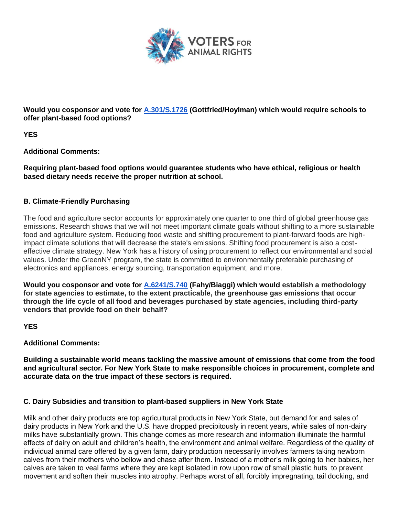

**Would you cosponsor and vote for A.301/S.1726 (Gottfried/Hoylman) which would require schools to offer plant-based food options?**

**YES**

**Additional Comments:**

**Requiring plant-based food options would guarantee students who have ethical, religious or health based dietary needs receive the proper nutrition at school.**

# **B. Climate-Friendly Purchasing**

The food and agriculture sector accounts for approximately one quarter to one third of global greenhouse gas emissions. Research shows that we will not meet important climate goals without shifting to a more sustainable food and agriculture system. Reducing food waste and shifting procurement to plant-forward foods are highimpact climate solutions that will decrease the state's emissions. Shifting food procurement is also a costeffective climate strategy. New York has a history of using procurement to reflect our environmental and social values. Under the GreenNY program, the state is committed to environmentally preferable purchasing of electronics and appliances, energy sourcing, transportation equipment, and more.

**Would you cosponsor and vote for A.6241/S.740 (Fahy/Biaggi) which would establish a methodology for state agencies to estimate, to the extent practicable, the greenhouse gas emissions that occur through the life cycle of all food and beverages purchased by state agencies, including third-party vendors that provide food on their behalf?**

**YES** 

**Additional Comments:**

**Building a sustainable world means tackling the massive amount of emissions that come from the food and agricultural sector. For New York State to make responsible choices in procurement, complete and accurate data on the true impact of these sectors is required.**

# **C. Dairy Subsidies and transition to plant-based suppliers in New York State**

Milk and other dairy products are top agricultural products in New York State, but demand for and sales of dairy products in New York and the U.S. have dropped precipitously in recent years, while sales of non-dairy milks have substantially grown. This change comes as more research and information illuminate the harmful effects of dairy on adult and children's health, the environment and animal welfare. Regardless of the quality of individual animal care offered by a given farm, dairy production necessarily involves farmers taking newborn calves from their mothers who bellow and chase after them. Instead of a mother's milk going to her babies, her calves are taken to veal farms where they are kept isolated in row upon row of small plastic huts to prevent movement and soften their muscles into atrophy. Perhaps worst of all, forcibly impregnating, tail docking, and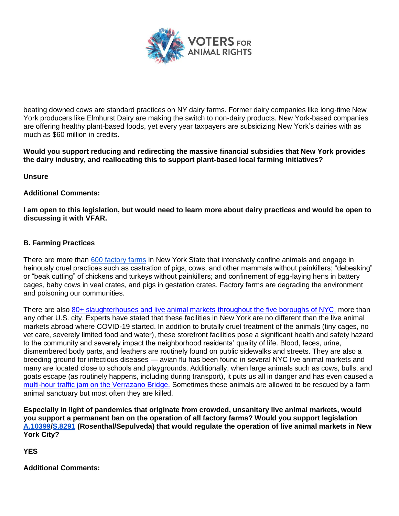

beating downed cows are standard practices on NY dairy farms. Former dairy companies like long-time New York producers like Elmhurst Dairy are making the switch to non-dairy products. New York-based companies are offering healthy plant-based foods, yet every year taxpayers are subsidizing New York's dairies with as much as \$60 million in credits.

**Would you support reducing and redirecting the massive financial subsidies that New York provides the dairy industry, and reallocating this to support plant-based local farming initiatives?**

**Unsure**

## **Additional Comments:**

**I am open to this legislation, but would need to learn more about dairy practices and would be open to discussing it with VFAR.**

### **B. Farming Practices**

There are more than 600 factory farms in New York State that intensively confine animals and engage in heinously cruel practices such as castration of pigs, cows, and other mammals without painkillers; "debeaking" or "beak cutting" of chickens and turkeys without painkillers; and confinement of egg-laying hens in battery cages, baby cows in veal crates, and pigs in gestation crates. Factory farms are degrading the environment and poisoning our communities.

There are also 80+ slaughterhouses and live animal markets throughout the five boroughs of NYC, more than any other U.S. city. Experts have stated that these facilities in New York are no different than the live animal markets abroad where COVID-19 started. In addition to brutally cruel treatment of the animals (tiny cages, no vet care, severely limited food and water), these storefront facilities pose a significant health and safety hazard to the community and severely impact the neighborhood residents' quality of life. Blood, feces, urine, dismembered body parts, and feathers are routinely found on public sidewalks and streets. They are also a breeding ground for infectious diseases — avian flu has been found in several NYC live animal markets and many are located close to schools and playgrounds. Additionally, when large animals such as cows, bulls, and goats escape (as routinely happens, including during transport), it puts us all in danger and has even caused a multi-hour traffic jam on the Verrazano Bridge. Sometimes these animals are allowed to be rescued by a farm animal sanctuary but most often they are killed.

**Especially in light of pandemics that originate from crowded, unsanitary live animal markets, would you support a permanent ban on the operation of all factory farms? Would you support legislation A.10399/S.8291 (Rosenthal/Sepulveda) that would regulate the operation of live animal markets in New York City?** 

**YES** 

**Additional Comments:**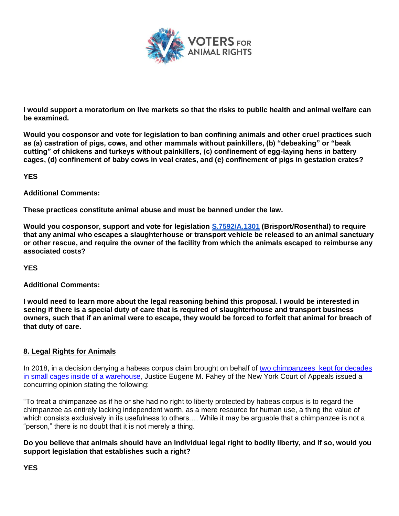

**I would support a moratorium on live markets so that the risks to public health and animal welfare can be examined.**

**Would you cosponsor and vote for legislation to ban confining animals and other cruel practices such as (a) castration of pigs, cows, and other mammals without painkillers, (b) "debeaking" or "beak cutting" of chickens and turkeys without painkillers, (c) confinement of egg-laying hens in battery cages, (d) confinement of baby cows in veal crates, and (e) confinement of pigs in gestation crates?**

**YES** 

**Additional Comments:**

**These practices constitute animal abuse and must be banned under the law.**

**Would you cosponsor, support and vote for legislation S.7592/A.1301 (Brisport/Rosenthal) to require that any animal who escapes a slaughterhouse or transport vehicle be released to an animal sanctuary or other rescue, and require the owner of the facility from which the animals escaped to reimburse any associated costs?**

**YES**

**Additional Comments:**

**I would need to learn more about the legal reasoning behind this proposal. I would be interested in seeing if there is a special duty of care that is required of slaughterhouse and transport business owners, such that if an animal were to escape, they would be forced to forfeit that animal for breach of that duty of care.**

## **8. Legal Rights for Animals**

In 2018, in a decision denying a habeas corpus claim brought on behalf of two chimpanzees kept for decades in small cages inside of a warehouse, Justice Eugene M. Fahey of the New York Court of Appeals issued a concurring opinion stating the following:

"To treat a chimpanzee as if he or she had no right to liberty protected by habeas corpus is to regard the chimpanzee as entirely lacking independent worth, as a mere resource for human use, a thing the value of which consists exclusively in its usefulness to others.... While it may be arguable that a chimpanzee is not a "person," there is no doubt that it is not merely a thing.

**Do you believe that animals should have an individual legal right to bodily liberty, and if so, would you support legislation that establishes such a right?**

**YES**